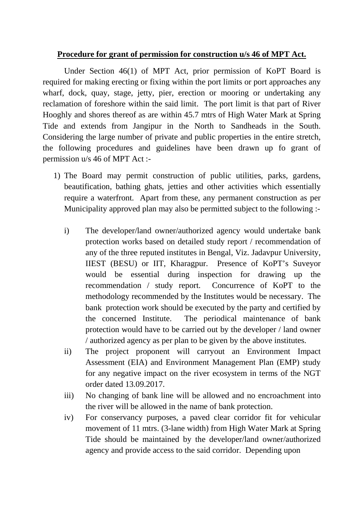## **Procedure for grant of permission for construction u/s 46 of MPT Act.**

 Under Section 46(1) of MPT Act, prior permission of KoPT Board is required for making erecting or fixing within the port limits or port approaches any wharf, dock, quay, stage, jetty, pier, erection or mooring or undertaking any reclamation of foreshore within the said limit. The port limit is that part of River Hooghly and shores thereof as are within 45.7 mtrs of High Water Mark at Spring Tide and extends from Jangipur in the North to Sandheads in the South. Considering the large number of private and public properties in the entire stretch, the following procedures and guidelines have been drawn up fo grant of permission u/s 46 of MPT Act :-

- 1) The Board may permit construction of public utilities, parks, gardens, beautification, bathing ghats, jetties and other activities which essentially require a waterfront. Apart from these, any permanent construction as per Municipality approved plan may also be permitted subject to the following :
	- i) The developer/land owner/authorized agency would undertake bank protection works based on detailed study report / recommendation of any of the three reputed institutes in Bengal, Viz. Jadavpur University, IIEST (BESU) or IIT, Kharagpur. Presence of KoPT's Suveyor would be essential during inspection for drawing up the recommendation / study report. Concurrence of KoPT to the methodology recommended by the Institutes would be necessary. The bank protection work should be executed by the party and certified by the concerned Institute. The periodical maintenance of bank protection would have to be carried out by the developer / land owner / authorized agency as per plan to be given by the above institutes.
	- ii) The project proponent will carryout an Environment Impact Assessment (EIA) and Environment Management Plan (EMP) study for any negative impact on the river ecosystem in terms of the NGT order dated 13.09.2017.
	- iii) No changing of bank line will be allowed and no encroachment into the river will be allowed in the name of bank protection.
	- iv) For conservancy purposes, a paved clear corridor fit for vehicular movement of 11 mtrs. (3-lane width) from High Water Mark at Spring Tide should be maintained by the developer/land owner/authorized agency and provide access to the said corridor. Depending upon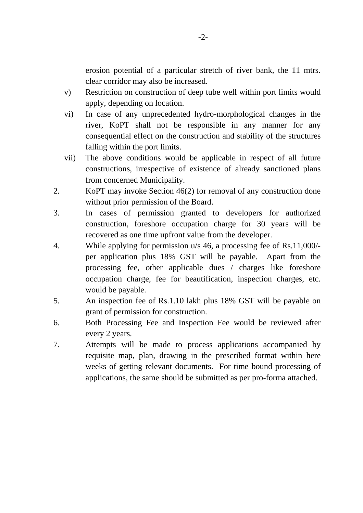erosion potential of a particular stretch of river bank, the 11 mtrs. clear corridor may also be increased.

- v) Restriction on construction of deep tube well within port limits would apply, depending on location.
- vi) In case of any unprecedented hydro-morphological changes in the river, KoPT shall not be responsible in any manner for any consequential effect on the construction and stability of the structures falling within the port limits.
- vii) The above conditions would be applicable in respect of all future constructions, irrespective of existence of already sanctioned plans from concerned Municipality.
- 2. KoPT may invoke Section 46(2) for removal of any construction done without prior permission of the Board.
- 3. In cases of permission granted to developers for authorized construction, foreshore occupation charge for 30 years will be recovered as one time upfront value from the developer.
- 4. While applying for permission u/s 46, a processing fee of Rs.11,000/ per application plus 18% GST will be payable. Apart from the processing fee, other applicable dues / charges like foreshore occupation charge, fee for beautification, inspection charges, etc. would be payable.
- 5. An inspection fee of Rs.1.10 lakh plus 18% GST will be payable on grant of permission for construction.
- 6. Both Processing Fee and Inspection Fee would be reviewed after every 2 years.
- 7. Attempts will be made to process applications accompanied by requisite map, plan, drawing in the prescribed format within here weeks of getting relevant documents. For time bound processing of applications, the same should be submitted as per pro-forma attached.